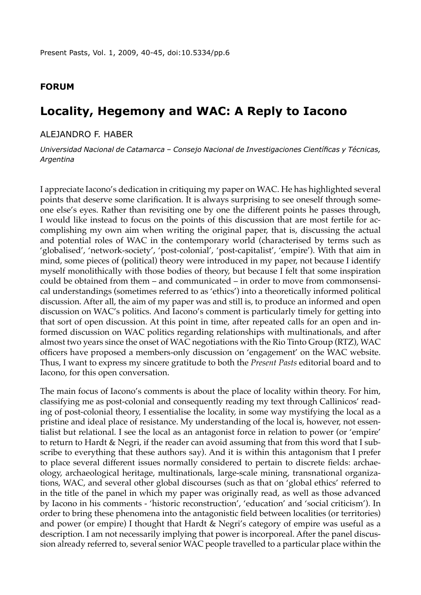## **Forum**

# **Locality, Hegemony and WAC: A Reply to Iacono**

### Alejandro F. Haber

*Universidad Nacional de Catamarca – Consejo Nacional de Investigaciones Científicas y Técnicas, Argentina* 

I appreciate Iacono's dedication in critiquing my paper on WAC. He has highlighted several points that deserve some clarification. It is always surprising to see oneself through someone else's eyes. Rather than revisiting one by one the different points he passes through, I would like instead to focus on the points of this discussion that are most fertile for accomplishing my own aim when writing the original paper, that is, discussing the actual and potential roles of WAC in the contemporary world (characterised by terms such as 'globalised', 'network-society', 'post-colonial', 'post-capitalist', 'empire'). With that aim in mind, some pieces of (political) theory were introduced in my paper, not because I identify myself monolithically with those bodies of theory, but because I felt that some inspiration could be obtained from them – and communicated – in order to move from commonsensical understandings (sometimes referred to as 'ethics') into a theoretically informed political discussion. After all, the aim of my paper was and still is, to produce an informed and open discussion on WAC's politics. And Iacono's comment is particularly timely for getting into that sort of open discussion. At this point in time, after repeated calls for an open and informed discussion on WAC politics regarding relationships with multinationals, and after almost two years since the onset of WAC negotiations with the Rio Tinto Group (RTZ), WAC officers have proposed a members-only discussion on 'engagement' on the WAC website. Thus, I want to express my sincere gratitude to both the *Present Pasts* editorial board and to Iacono, for this open conversation.

The main focus of Iacono's comments is about the place of locality within theory. For him, classifying me as post-colonial and consequently reading my text through Callinicos' reading of post-colonial theory, I essentialise the locality, in some way mystifying the local as a pristine and ideal place of resistance. My understanding of the local is, however, not essentialist but relational. I see the local as an antagonist force in relation to power (or 'empire' to return to Hardt & Negri, if the reader can avoid assuming that from this word that I subscribe to everything that these authors say). And it is within this antagonism that I prefer to place several different issues normally considered to pertain to discrete fields: archaeology, archaeological heritage, multinationals, large-scale mining, transnational organizations, WAC, and several other global discourses (such as that on 'global ethics' referred to in the title of the panel in which my paper was originally read, as well as those advanced by Iacono in his comments - 'historic reconstruction', 'education' and 'social criticism'). In order to bring these phenomena into the antagonistic field between localities (or territories) and power (or empire) I thought that Hardt & Negri's category of empire was useful as a description. I am not necessarily implying that power is incorporeal. After the panel discussion already referred to, several senior WAC people travelled to a particular place within the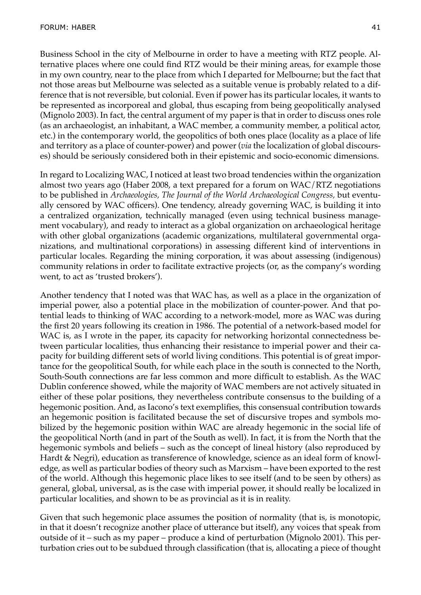Business School in the city of Melbourne in order to have a meeting with RTZ people. Alternative places where one could find RTZ would be their mining areas, for example those in my own country, near to the place from which I departed for Melbourne; but the fact that not those areas but Melbourne was selected as a suitable venue is probably related to a difference that is not reversible, but colonial. Even if power has its particular locales, it wants to be represented as incorporeal and global, thus escaping from being geopolitically analysed (Mignolo 2003). In fact, the central argument of my paper is that in order to discuss ones role (as an archaeologist, an inhabitant, a WAC member, a community member, a political actor, etc.) in the contemporary world, the geopolitics of both ones place (locality as a place of life and territory as a place of counter-power) and power (*via* the localization of global discourses) should be seriously considered both in their epistemic and socio-economic dimensions.

In regard to Localizing WAC, I noticed at least two broad tendencies within the organization almost two years ago (Haber 2008, a text prepared for a forum on WAC/RTZ negotiations to be published in *Archaeologies, The Journal of the World Archaeological Congress,* but eventually censored by WAC officers). One tendency, already governing WAC, is building it into a centralized organization, technically managed (even using technical business management vocabulary), and ready to interact as a global organization on archaeological heritage with other global organizations (academic organizations, multilateral governmental organizations, and multinational corporations) in assessing different kind of interventions in particular locales. Regarding the mining corporation, it was about assessing (indigenous) community relations in order to facilitate extractive projects (or, as the company's wording went, to act as 'trusted brokers').

Another tendency that I noted was that WAC has, as well as a place in the organization of imperial power, also a potential place in the mobilization of counter-power. And that potential leads to thinking of WAC according to a network-model, more as WAC was during the first 20 years following its creation in 1986. The potential of a network-based model for WAC is, as I wrote in the paper, its capacity for networking horizontal connectedness between particular localities, thus enhancing their resistance to imperial power and their capacity for building different sets of world living conditions. This potential is of great importance for the geopolitical South, for while each place in the south is connected to the North, South-South connections are far less common and more difficult to establish. As the WAC Dublin conference showed, while the majority of WAC members are not actively situated in either of these polar positions, they nevertheless contribute consensus to the building of a hegemonic position. And, as Iacono's text exemplifies, this consensual contribution towards an hegemonic position is facilitated because the set of discursive tropes and symbols mobilized by the hegemonic position within WAC are already hegemonic in the social life of the geopolitical North (and in part of the South as well). In fact, it is from the North that the hegemonic symbols and beliefs – such as the concept of lineal history (also reproduced by Hardt & Negri), education as transference of knowledge, science as an ideal form of knowledge, as well as particular bodies of theory such as Marxism – have been exported to the rest of the world. Although this hegemonic place likes to see itself (and to be seen by others) as general, global, universal, as is the case with imperial power, it should really be localized in particular localities, and shown to be as provincial as it is in reality.

Given that such hegemonic place assumes the position of normality (that is, is monotopic, in that it doesn't recognize another place of utterance but itself), any voices that speak from outside of it – such as my paper – produce a kind of perturbation (Mignolo 2001). This perturbation cries out to be subdued through classification (that is, allocating a piece of thought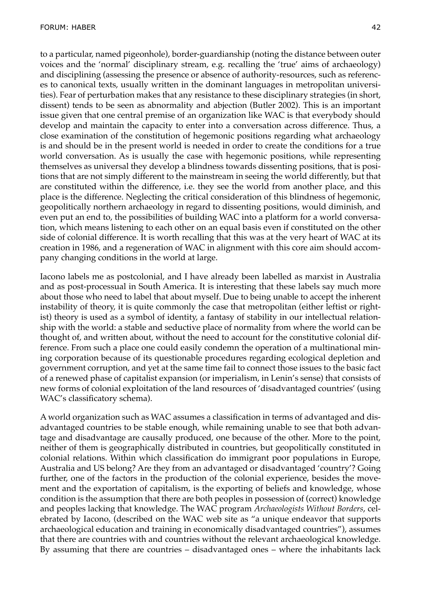to a particular, named pigeonhole), border-guardianship (noting the distance between outer voices and the 'normal' disciplinary stream, e.g. recalling the 'true' aims of archaeology) and disciplining (assessing the presence or absence of authority-resources, such as references to canonical texts, usually written in the dominant languages in metropolitan universities). Fear of perturbation makes that any resistance to these disciplinary strategies (in short, dissent) tends to be seen as abnormality and abjection (Butler 2002). This is an important issue given that one central premise of an organization like WAC is that everybody should develop and maintain the capacity to enter into a conversation across difference. Thus, a close examination of the constitution of hegemonic positions regarding what archaeology is and should be in the present world is needed in order to create the conditions for a true world conversation. As is usually the case with hegemonic positions, while representing themselves as universal they develop a blindness towards dissenting positions, that is positions that are not simply different to the mainstream in seeing the world differently, but that are constituted within the difference, i.e. they see the world from another place, and this place is the difference. Neglecting the critical consideration of this blindness of hegemonic, geopolitically northern archaeology in regard to dissenting positions, would diminish, and even put an end to, the possibilities of building WAC into a platform for a world conversation, which means listening to each other on an equal basis even if constituted on the other side of colonial difference. It is worth recalling that this was at the very heart of WAC at its creation in 1986, and a regeneration of WAC in alignment with this core aim should accompany changing conditions in the world at large.

Iacono labels me as postcolonial, and I have already been labelled as marxist in Australia and as post-processual in South America. It is interesting that these labels say much more about those who need to label that about myself. Due to being unable to accept the inherent instability of theory, it is quite commonly the case that metropolitan (either leftist or rightist) theory is used as a symbol of identity, a fantasy of stability in our intellectual relationship with the world: a stable and seductive place of normality from where the world can be thought of, and written about, without the need to account for the constitutive colonial difference. From such a place one could easily condemn the operation of a multinational mining corporation because of its questionable procedures regarding ecological depletion and government corruption, and yet at the same time fail to connect those issues to the basic fact of a renewed phase of capitalist expansion (or imperialism, in Lenin's sense) that consists of new forms of colonial exploitation of the land resources of 'disadvantaged countries' (using WAC's classificatory schema).

A world organization such as WAC assumes a classification in terms of advantaged and disadvantaged countries to be stable enough, while remaining unable to see that both advantage and disadvantage are causally produced, one because of the other. More to the point, neither of them is geographically distributed in countries, but geopolitically constituted in colonial relations. Within which classification do immigrant poor populations in Europe, Australia and US belong? Are they from an advantaged or disadvantaged 'country'? Going further, one of the factors in the production of the colonial experience, besides the movement and the exportation of capitalism, is the exporting of beliefs and knowledge, whose condition is the assumption that there are both peoples in possession of (correct) knowledge and peoples lacking that knowledge. The WAC program *Archaeologists Without Borders*, celebrated by Iacono, (described on the WAC web site as "a unique endeavor that supports archaeological education and training in economically disadvantaged countries"), assumes that there are countries with and countries without the relevant archaeological knowledge. By assuming that there are countries – disadvantaged ones – where the inhabitants lack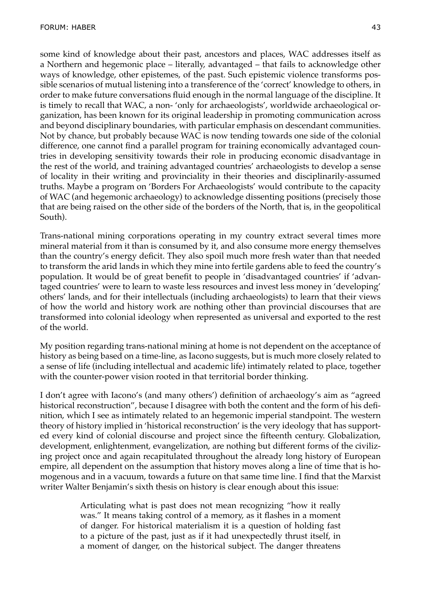some kind of knowledge about their past, ancestors and places, WAC addresses itself as a Northern and hegemonic place – literally, advantaged – that fails to acknowledge other ways of knowledge, other epistemes, of the past. Such epistemic violence transforms possible scenarios of mutual listening into a transference of the 'correct' knowledge to others, in order to make future conversations fluid enough in the normal language of the discipline. It is timely to recall that WAC, a non- 'only for archaeologists', worldwide archaeological organization, has been known for its original leadership in promoting communication across and beyond disciplinary boundaries, with particular emphasis on descendant communities. Not by chance, but probably because WAC is now tending towards one side of the colonial difference, one cannot find a parallel program for training economically advantaged countries in developing sensitivity towards their role in producing economic disadvantage in the rest of the world, and training advantaged countries' archaeologists to develop a sense of locality in their writing and provinciality in their theories and disciplinarily-assumed truths. Maybe a program on 'Borders For Archaeologists' would contribute to the capacity of WAC (and hegemonic archaeology) to acknowledge dissenting positions (precisely those that are being raised on the other side of the borders of the North, that is, in the geopolitical South).

Trans-national mining corporations operating in my country extract several times more mineral material from it than is consumed by it, and also consume more energy themselves than the country's energy deficit. They also spoil much more fresh water than that needed to transform the arid lands in which they mine into fertile gardens able to feed the country's population. It would be of great benefit to people in 'disadvantaged countries' if 'advantaged countries' were to learn to waste less resources and invest less money in 'developing' others' lands, and for their intellectuals (including archaeologists) to learn that their views of how the world and history work are nothing other than provincial discourses that are transformed into colonial ideology when represented as universal and exported to the rest of the world.

My position regarding trans-national mining at home is not dependent on the acceptance of history as being based on a time-line, as Iacono suggests, but is much more closely related to a sense of life (including intellectual and academic life) intimately related to place, together with the counter-power vision rooted in that territorial border thinking.

I don't agree with Iacono's (and many others') definition of archaeology's aim as "agreed historical reconstruction", because I disagree with both the content and the form of his definition, which I see as intimately related to an hegemonic imperial standpoint. The western theory of history implied in 'historical reconstruction' is the very ideology that has supported every kind of colonial discourse and project since the fifteenth century. Globalization, development, enlightenment, evangelization, are nothing but different forms of the civilizing project once and again recapitulated throughout the already long history of European empire, all dependent on the assumption that history moves along a line of time that is homogenous and in a vacuum, towards a future on that same time line. I find that the Marxist writer Walter Benjamin's sixth thesis on history is clear enough about this issue:

> Articulating what is past does not mean recognizing "how it really was." It means taking control of a memory, as it flashes in a moment of danger. For historical materialism it is a question of holding fast to a picture of the past, just as if it had unexpectedly thrust itself, in a moment of danger, on the historical subject. The danger threatens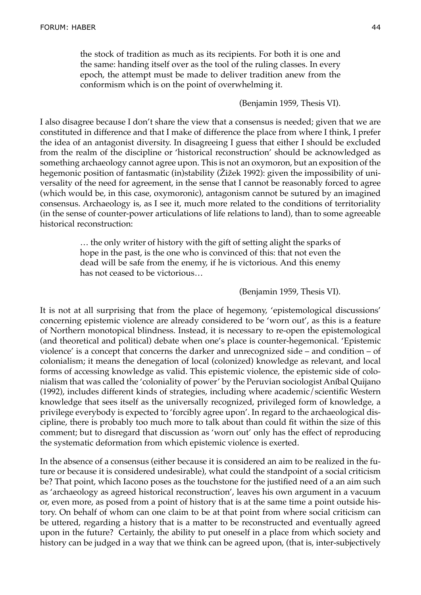the stock of tradition as much as its recipients. For both it is one and the same: handing itself over as the tool of the ruling classes. In every epoch, the attempt must be made to deliver tradition anew from the conformism which is on the point of overwhelming it.

#### (Benjamin 1959, Thesis VI).

I also disagree because I don't share the view that a consensus is needed; given that we are constituted in difference and that I make of difference the place from where I think, I prefer the idea of an antagonist diversity. In disagreeing I guess that either I should be excluded from the realm of the discipline or 'historical reconstruction' should be acknowledged as something archaeology cannot agree upon. This is not an oxymoron, but an exposition of the hegemonic position of fantasmatic (in)stability (Žižek 1992): given the impossibility of universality of the need for agreement, in the sense that I cannot be reasonably forced to agree (which would be, in this case, oxymoronic), antagonism cannot be sutured by an imagined consensus. Archaeology is, as I see it, much more related to the conditions of territoriality (in the sense of counter-power articulations of life relations to land), than to some agreeable historical reconstruction:

> … the only writer of history with the gift of setting alight the sparks of hope in the past, is the one who is convinced of this: that not even the dead will be safe from the enemy, if he is victorious. And this enemy has not ceased to be victorious…

#### (Benjamin 1959, Thesis VI).

It is not at all surprising that from the place of hegemony, 'epistemological discussions' concerning epistemic violence are already considered to be 'worn out', as this is a feature of Northern monotopical blindness. Instead, it is necessary to re-open the epistemological (and theoretical and political) debate when one's place is counter-hegemonical. 'Epistemic violence' is a concept that concerns the darker and unrecognized side – and condition – of colonialism; it means the denegation of local (colonized) knowledge as relevant, and local forms of accessing knowledge as valid. This epistemic violence, the epistemic side of colonialism that was called the 'coloniality of power' by the Peruvian sociologist Aníbal Quijano (1992), includes different kinds of strategies, including where academic/scientific Western knowledge that sees itself as the universally recognized, privileged form of knowledge, a privilege everybody is expected to 'forcibly agree upon'. In regard to the archaeological discipline, there is probably too much more to talk about than could fit within the size of this comment; but to disregard that discussion as 'worn out' only has the effect of reproducing the systematic deformation from which epistemic violence is exerted.

In the absence of a consensus (either because it is considered an aim to be realized in the future or because it is considered undesirable), what could the standpoint of a social criticism be? That point, which Iacono poses as the touchstone for the justified need of a an aim such as 'archaeology as agreed historical reconstruction', leaves his own argument in a vacuum or, even more, as posed from a point of history that is at the same time a point outside history. On behalf of whom can one claim to be at that point from where social criticism can be uttered, regarding a history that is a matter to be reconstructed and eventually agreed upon in the future? Certainly, the ability to put oneself in a place from which society and history can be judged in a way that we think can be agreed upon, (that is, inter-subjectively